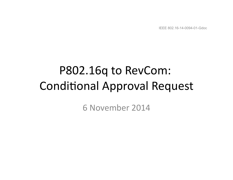IEEE 802.16-14-0094-01-Gdoc

## P802.16q to RevCom: **Conditional Approval Request**

6 November 2014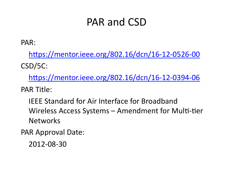### PAR and CSD

PAR: 

https://mentor.ieee.org/802.16/dcn/16-12-0526-00 CSD/5C: 

https://mentor.ieee.org/802.16/dcn/16-12-0394-06

PAR Title:

IEEE Standard for Air Interface for Broadband Wireless Access Systems – Amendment for Multi-tier **Networks** 

PAR Approval Date:

2012-08-30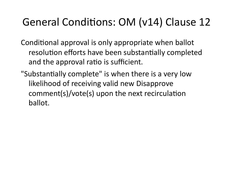### General Conditions: OM (v14) Clause 12

Conditional approval is only appropriate when ballot resolution efforts have been substantially completed and the approval ratio is sufficient.

"Substantially complete" is when there is a very low likelihood of receiving valid new Disapprove comment(s)/vote(s) upon the next recirculation ballot.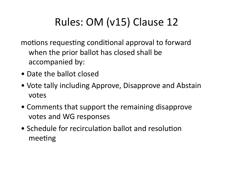### Rules: OM (v15) Clause 12

motions requesting conditional approval to forward when the prior ballot has closed shall be accompanied by:

- Date the ballot closed
- Vote tally including Approve, Disapprove and Abstain votes
- Comments that support the remaining disapprove votes and WG responses
- Schedule for recirculation ballot and resolution meeting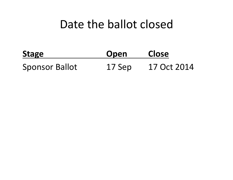### Date the ballot closed

| <b>Stage</b>          | Open   | <b>Close</b> |
|-----------------------|--------|--------------|
| <b>Sponsor Ballot</b> | 17 Sep | 17 Oct 2014  |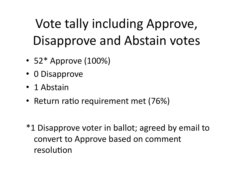# Vote tally including Approve, Disapprove and Abstain votes

- $52*$  Approve  $(100%)$
- 0 Disapprove
- 1 Abstain
- Return ratio requirement met (76%)
- \*1 Disapprove voter in ballot; agreed by email to convert to Approve based on comment resolution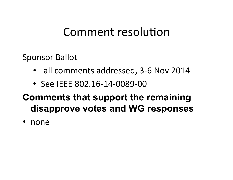### Comment resolution

Sponsor Ballot

- all comments addressed, 3-6 Nov 2014
- See IEEE 802.16-14-0089-00

#### **Comments that support the remaining disapprove votes and WG responses**

• none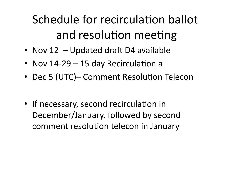Schedule for recirculation ballot and resolution meeting

- Nov  $12$  Updated draft D4 available
- Nov  $14-29-15$  day Recirculation a
- Dec 5 (UTC)– Comment Resolution Telecon
- If necessary, second recirculation in December/January, followed by second comment resolution telecon in January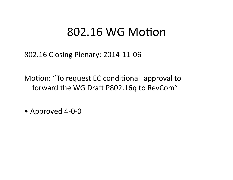### 802.16 WG Motion

802.16 Closing Plenary: 2014-11-06

Motion: "To request EC conditional approval to forward the WG Draft P802.16q to RevCom"

• Approved 4-0-0